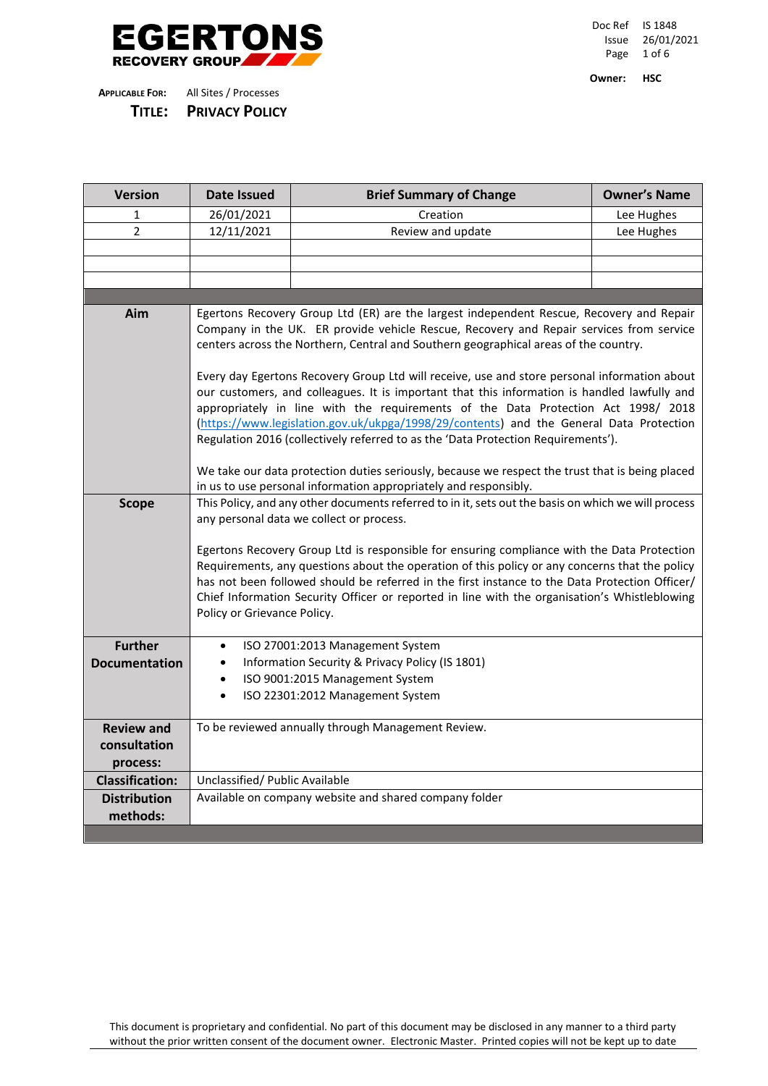

Doc Ref IS 1848 Issue 26/01/2021 Page 1 of 6

**Owner: HSC**

| TITLE:                 | <b>PRIVACY POLICY</b> |  |
|------------------------|-----------------------|--|
| <b>APPLICABLE FOR:</b> | All Sites / Processes |  |

| <b>Version</b>         | <b>Date Issued</b>                                                                                                                                                                            | <b>Brief Summary of Change</b>                                                           | <b>Owner's Name</b> |  |  |  |  |
|------------------------|-----------------------------------------------------------------------------------------------------------------------------------------------------------------------------------------------|------------------------------------------------------------------------------------------|---------------------|--|--|--|--|
| 1                      | 26/01/2021                                                                                                                                                                                    | Creation                                                                                 | Lee Hughes          |  |  |  |  |
| $\overline{2}$         | 12/11/2021                                                                                                                                                                                    | Review and update                                                                        | Lee Hughes          |  |  |  |  |
|                        |                                                                                                                                                                                               |                                                                                          |                     |  |  |  |  |
|                        |                                                                                                                                                                                               |                                                                                          |                     |  |  |  |  |
|                        |                                                                                                                                                                                               |                                                                                          |                     |  |  |  |  |
|                        |                                                                                                                                                                                               |                                                                                          |                     |  |  |  |  |
| Aim                    |                                                                                                                                                                                               | Egertons Recovery Group Ltd (ER) are the largest independent Rescue, Recovery and Repair |                     |  |  |  |  |
|                        |                                                                                                                                                                                               | Company in the UK. ER provide vehicle Rescue, Recovery and Repair services from service  |                     |  |  |  |  |
|                        |                                                                                                                                                                                               | centers across the Northern, Central and Southern geographical areas of the country.     |                     |  |  |  |  |
|                        |                                                                                                                                                                                               |                                                                                          |                     |  |  |  |  |
|                        | Every day Egertons Recovery Group Ltd will receive, use and store personal information about<br>our customers, and colleagues. It is important that this information is handled lawfully and  |                                                                                          |                     |  |  |  |  |
|                        |                                                                                                                                                                                               | appropriately in line with the requirements of the Data Protection Act 1998/ 2018        |                     |  |  |  |  |
|                        | (https://www.legislation.gov.uk/ukpga/1998/29/contents) and the General Data Protection                                                                                                       |                                                                                          |                     |  |  |  |  |
|                        | Regulation 2016 (collectively referred to as the 'Data Protection Requirements').                                                                                                             |                                                                                          |                     |  |  |  |  |
|                        |                                                                                                                                                                                               |                                                                                          |                     |  |  |  |  |
|                        | We take our data protection duties seriously, because we respect the trust that is being placed                                                                                               |                                                                                          |                     |  |  |  |  |
|                        |                                                                                                                                                                                               | in us to use personal information appropriately and responsibly.                         |                     |  |  |  |  |
| <b>Scope</b>           | This Policy, and any other documents referred to in it, sets out the basis on which we will process                                                                                           |                                                                                          |                     |  |  |  |  |
|                        | any personal data we collect or process.                                                                                                                                                      |                                                                                          |                     |  |  |  |  |
|                        |                                                                                                                                                                                               |                                                                                          |                     |  |  |  |  |
|                        | Egertons Recovery Group Ltd is responsible for ensuring compliance with the Data Protection<br>Requirements, any questions about the operation of this policy or any concerns that the policy |                                                                                          |                     |  |  |  |  |
|                        | has not been followed should be referred in the first instance to the Data Protection Officer/                                                                                                |                                                                                          |                     |  |  |  |  |
|                        | Chief Information Security Officer or reported in line with the organisation's Whistleblowing                                                                                                 |                                                                                          |                     |  |  |  |  |
|                        | Policy or Grievance Policy.                                                                                                                                                                   |                                                                                          |                     |  |  |  |  |
|                        |                                                                                                                                                                                               |                                                                                          |                     |  |  |  |  |
| <b>Further</b>         |                                                                                                                                                                                               | ISO 27001:2013 Management System                                                         |                     |  |  |  |  |
| <b>Documentation</b>   | $\bullet$                                                                                                                                                                                     | Information Security & Privacy Policy (IS 1801)                                          |                     |  |  |  |  |
|                        | ISO 9001:2015 Management System<br>$\bullet$                                                                                                                                                  |                                                                                          |                     |  |  |  |  |
|                        | $\bullet$                                                                                                                                                                                     | ISO 22301:2012 Management System                                                         |                     |  |  |  |  |
|                        |                                                                                                                                                                                               |                                                                                          |                     |  |  |  |  |
| <b>Review and</b>      |                                                                                                                                                                                               | To be reviewed annually through Management Review.                                       |                     |  |  |  |  |
| consultation           |                                                                                                                                                                                               |                                                                                          |                     |  |  |  |  |
| process:               |                                                                                                                                                                                               |                                                                                          |                     |  |  |  |  |
| <b>Classification:</b> | Unclassified/ Public Available                                                                                                                                                                |                                                                                          |                     |  |  |  |  |
| <b>Distribution</b>    | Available on company website and shared company folder                                                                                                                                        |                                                                                          |                     |  |  |  |  |
| methods:               |                                                                                                                                                                                               |                                                                                          |                     |  |  |  |  |

This document is proprietary and confidential. No part of this document may be disclosed in any manner to a third party without the prior written consent of the document owner. Electronic Master. Printed copies will not be kept up to date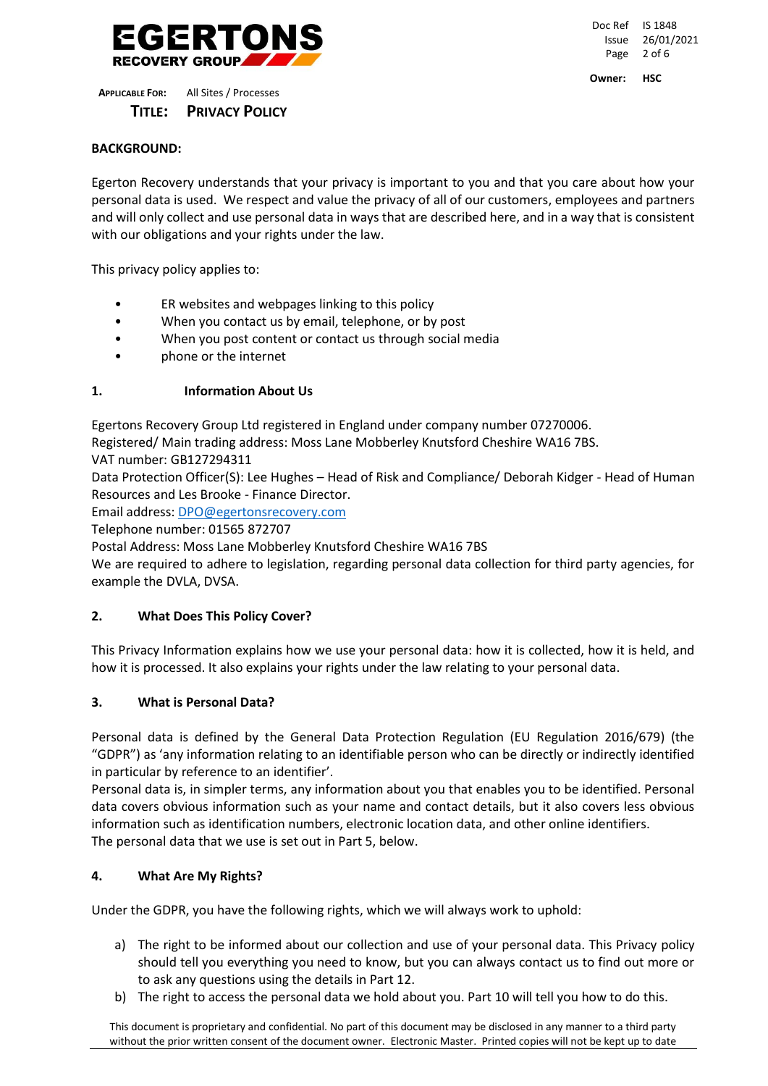

Doc Ref IS 1848 Issue 26/01/2021 Page 2 of 6 **Owner: HSC**

**APPLICABLE FOR:** All Sites / Processes  **TITLE: PRIVACY POLICY**

# **BACKGROUND:**

Egerton Recovery understands that your privacy is important to you and that you care about how your personal data is used. We respect and value the privacy of all of our customers, employees and partners and will only collect and use personal data in ways that are described here, and in a way that is consistent with our obligations and your rights under the law.

This privacy policy applies to:

- ER websites and webpages linking to this policy
- When you contact us by email, telephone, or by post
- When you post content or contact us through social media
- phone or the internet

# **1. Information About Us**

Egertons Recovery Group Ltd registered in England under company number 07270006.

Registered/ Main trading address: Moss Lane Mobberley Knutsford Cheshire WA16 7BS.

VAT number: GB127294311

Data Protection Officer(S): Lee Hughes – Head of Risk and Compliance/ Deborah Kidger - Head of Human Resources and Les Brooke - Finance Director.

Email address: [DPO@egertonsrecovery.com](mailto:DPO@egertonsrecovery.com)

Telephone number: 01565 872707

Postal Address: Moss Lane Mobberley Knutsford Cheshire WA16 7BS

We are required to adhere to legislation, regarding personal data collection for third party agencies, for example the DVLA, DVSA.

## **2. What Does This Policy Cover?**

This Privacy Information explains how we use your personal data: how it is collected, how it is held, and how it is processed. It also explains your rights under the law relating to your personal data.

## **3. What is Personal Data?**

Personal data is defined by the General Data Protection Regulation (EU Regulation 2016/679) (the "GDPR") as 'any information relating to an identifiable person who can be directly or indirectly identified in particular by reference to an identifier'.

Personal data is, in simpler terms, any information about you that enables you to be identified. Personal data covers obvious information such as your name and contact details, but it also covers less obvious information such as identification numbers, electronic location data, and other online identifiers. The personal data that we use is set out in Part 5, below.

## **4. What Are My Rights?**

Under the GDPR, you have the following rights, which we will always work to uphold:

- a) The right to be informed about our collection and use of your personal data. This Privacy policy should tell you everything you need to know, but you can always contact us to find out more or to ask any questions using the details in Part 12.
- b) The right to access the personal data we hold about you. Part 10 will tell you how to do this.

This document is proprietary and confidential. No part of this document may be disclosed in any manner to a third party without the prior written consent of the document owner. Electronic Master. Printed copies will not be kept up to date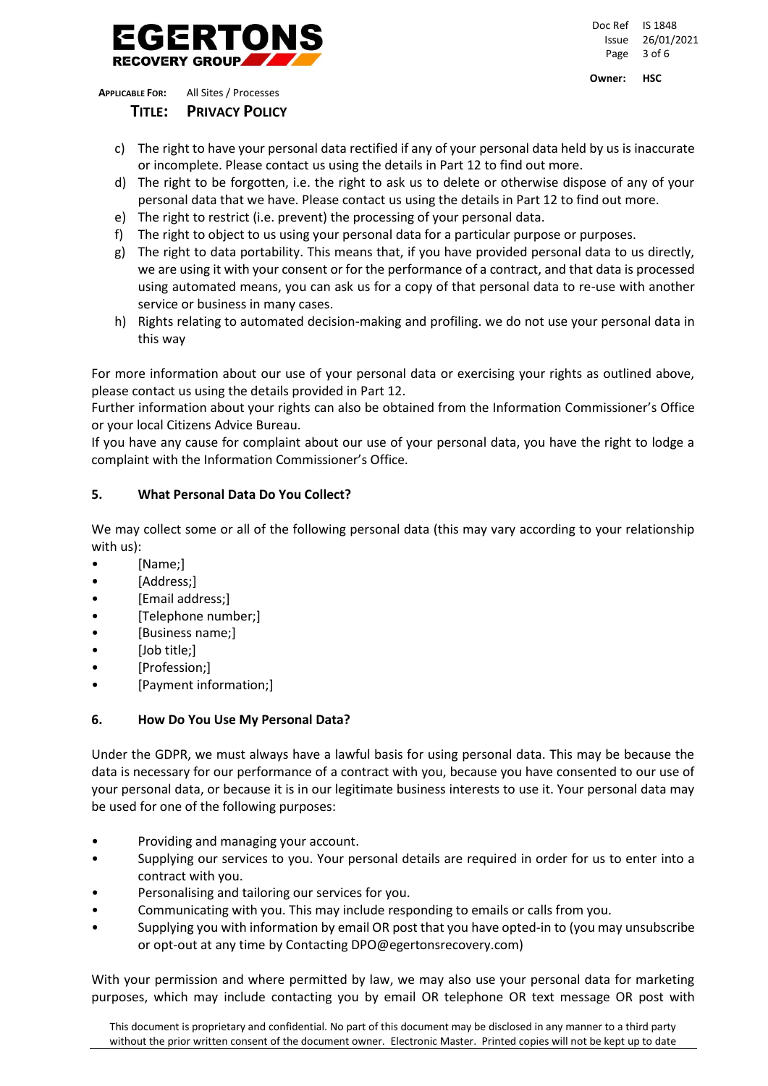

Doc Ref IS 1848 Issue 26/01/2021 Page 3 of 6

**Owner: HSC**

**APPLICABLE FOR:** All Sites / Processes

 **TITLE: PRIVACY POLICY**

- c) The right to have your personal data rectified if any of your personal data held by us is inaccurate or incomplete. Please contact us using the details in Part 12 to find out more.
- d) The right to be forgotten, i.e. the right to ask us to delete or otherwise dispose of any of your personal data that we have. Please contact us using the details in Part 12 to find out more.
- e) The right to restrict (i.e. prevent) the processing of your personal data.
- f) The right to object to us using your personal data for a particular purpose or purposes.
- g) The right to data portability. This means that, if you have provided personal data to us directly, we are using it with your consent or for the performance of a contract, and that data is processed using automated means, you can ask us for a copy of that personal data to re-use with another service or business in many cases.
- h) Rights relating to automated decision-making and profiling. we do not use your personal data in this way

For more information about our use of your personal data or exercising your rights as outlined above, please contact us using the details provided in Part 12.

Further information about your rights can also be obtained from the Information Commissioner's Office or your local Citizens Advice Bureau.

If you have any cause for complaint about our use of your personal data, you have the right to lodge a complaint with the Information Commissioner's Office.

# **5. What Personal Data Do You Collect?**

We may collect some or all of the following personal data (this may vary according to your relationship with us):

- [Name;]
- [Address;]
- [Email address;]
- [Telephone number;]
- [Business name;]
- [Job title;]
- [Profession;]
- [Payment information;]

# **6. How Do You Use My Personal Data?**

Under the GDPR, we must always have a lawful basis for using personal data. This may be because the data is necessary for our performance of a contract with you, because you have consented to our use of your personal data, or because it is in our legitimate business interests to use it. Your personal data may be used for one of the following purposes:

- Providing and managing your account.
- Supplying our services to you. Your personal details are required in order for us to enter into a contract with you.
- Personalising and tailoring our services for you.
- Communicating with you. This may include responding to emails or calls from you.
- Supplying you with information by email OR post that you have opted-in to (you may unsubscribe or opt-out at any time by Contacting DPO@egertonsrecovery.com)

With your permission and where permitted by law, we may also use your personal data for marketing purposes, which may include contacting you by email OR telephone OR text message OR post with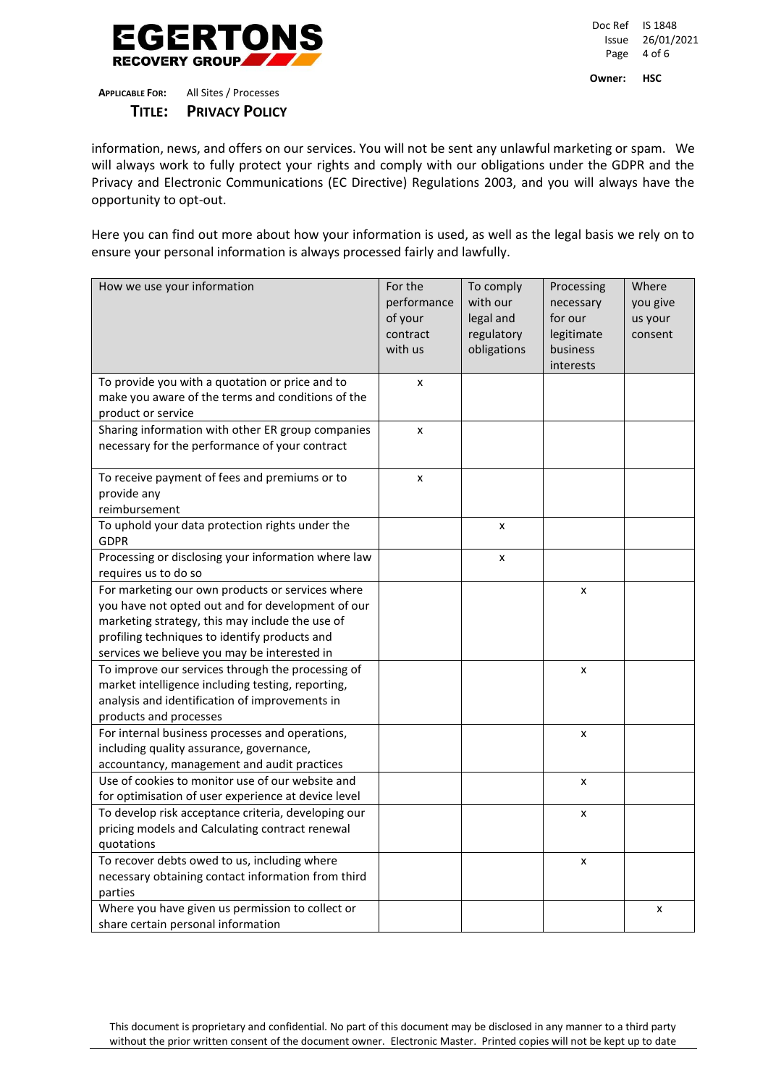

Doc Ref IS 1848 Issue 26/01/2021 Page 4 of 6 **Owner: HSC**

**APPLICABLE FOR:** All Sites / Processes  **TITLE: PRIVACY POLICY**

information, news, and offers on our services. You will not be sent any unlawful marketing or spam. We will always work to fully protect your rights and comply with our obligations under the GDPR and the Privacy and Electronic Communications (EC Directive) Regulations 2003, and you will always have the opportunity to opt-out.

Here you can find out more about how your information is used, as well as the legal basis we rely on to ensure your personal information is always processed fairly and lawfully.

| How we use your information                                    | For the<br>performance<br>of your<br>contract<br>with us | To comply<br>with our<br>legal and<br>regulatory<br>obligations | Processing<br>necessary<br>for our<br>legitimate<br>business<br>interests | Where<br>you give<br>us your<br>consent |
|----------------------------------------------------------------|----------------------------------------------------------|-----------------------------------------------------------------|---------------------------------------------------------------------------|-----------------------------------------|
| To provide you with a quotation or price and to                | x                                                        |                                                                 |                                                                           |                                         |
| make you aware of the terms and conditions of the              |                                                          |                                                                 |                                                                           |                                         |
| product or service                                             |                                                          |                                                                 |                                                                           |                                         |
| Sharing information with other ER group companies              | x                                                        |                                                                 |                                                                           |                                         |
| necessary for the performance of your contract                 |                                                          |                                                                 |                                                                           |                                         |
| To receive payment of fees and premiums or to                  | x                                                        |                                                                 |                                                                           |                                         |
| provide any                                                    |                                                          |                                                                 |                                                                           |                                         |
| reimbursement                                                  |                                                          |                                                                 |                                                                           |                                         |
| To uphold your data protection rights under the<br><b>GDPR</b> |                                                          | x                                                               |                                                                           |                                         |
| Processing or disclosing your information where law            |                                                          | x                                                               |                                                                           |                                         |
| requires us to do so                                           |                                                          |                                                                 |                                                                           |                                         |
| For marketing our own products or services where               |                                                          |                                                                 | X                                                                         |                                         |
| you have not opted out and for development of our              |                                                          |                                                                 |                                                                           |                                         |
| marketing strategy, this may include the use of                |                                                          |                                                                 |                                                                           |                                         |
| profiling techniques to identify products and                  |                                                          |                                                                 |                                                                           |                                         |
| services we believe you may be interested in                   |                                                          |                                                                 |                                                                           |                                         |
| To improve our services through the processing of              |                                                          |                                                                 | x                                                                         |                                         |
| market intelligence including testing, reporting,              |                                                          |                                                                 |                                                                           |                                         |
| analysis and identification of improvements in                 |                                                          |                                                                 |                                                                           |                                         |
| products and processes                                         |                                                          |                                                                 |                                                                           |                                         |
| For internal business processes and operations,                |                                                          |                                                                 | x                                                                         |                                         |
| including quality assurance, governance,                       |                                                          |                                                                 |                                                                           |                                         |
| accountancy, management and audit practices                    |                                                          |                                                                 |                                                                           |                                         |
| Use of cookies to monitor use of our website and               |                                                          |                                                                 | $\pmb{\times}$                                                            |                                         |
| for optimisation of user experience at device level            |                                                          |                                                                 |                                                                           |                                         |
| To develop risk acceptance criteria, developing our            |                                                          |                                                                 | x                                                                         |                                         |
| pricing models and Calculating contract renewal                |                                                          |                                                                 |                                                                           |                                         |
| quotations                                                     |                                                          |                                                                 |                                                                           |                                         |
| To recover debts owed to us, including where                   |                                                          |                                                                 | x                                                                         |                                         |
| necessary obtaining contact information from third             |                                                          |                                                                 |                                                                           |                                         |
| parties                                                        |                                                          |                                                                 |                                                                           |                                         |
| Where you have given us permission to collect or               |                                                          |                                                                 |                                                                           | x                                       |
| share certain personal information                             |                                                          |                                                                 |                                                                           |                                         |

This document is proprietary and confidential. No part of this document may be disclosed in any manner to a third party without the prior written consent of the document owner. Electronic Master. Printed copies will not be kept up to date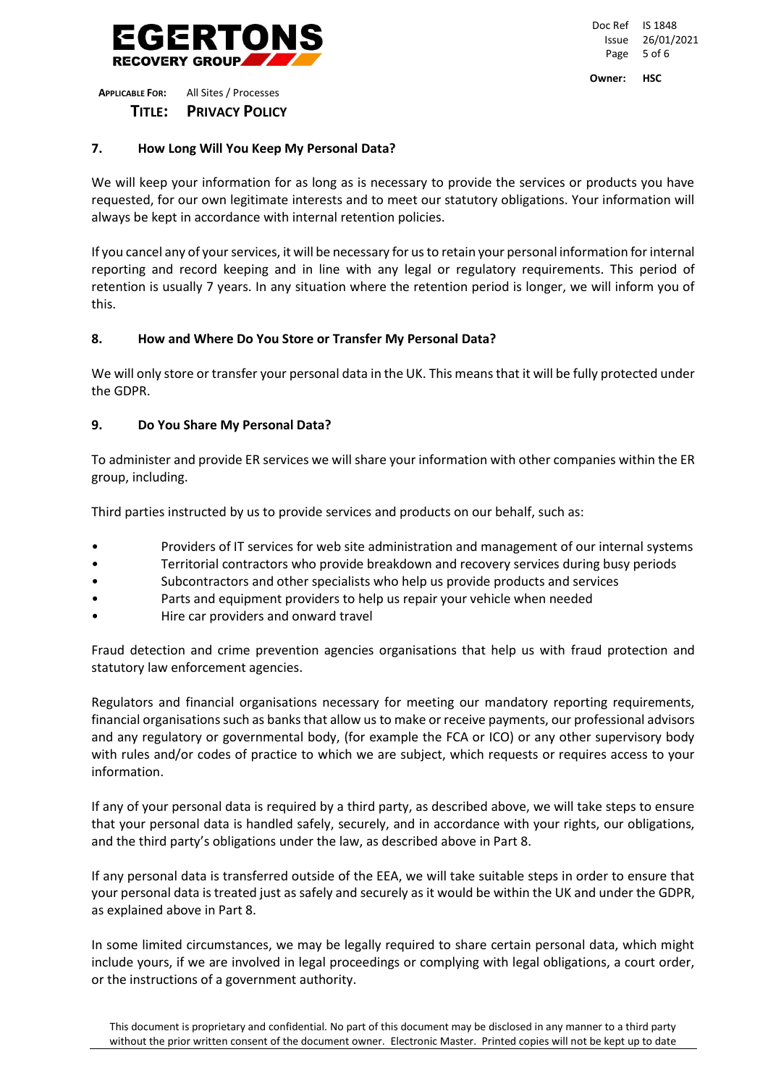

**APPLICABLE FOR:** All Sites / Processes  **TITLE: PRIVACY POLICY**

We will keep your information for as long as is necessary to provide the services or products you have requested, for our own legitimate interests and to meet our statutory obligations. Your information will always be kept in accordance with internal retention policies.

If you cancel any of your services, it will be necessary for us to retain your personal information for internal reporting and record keeping and in line with any legal or regulatory requirements. This period of retention is usually 7 years. In any situation where the retention period is longer, we will inform you of this.

# **8. How and Where Do You Store or Transfer My Personal Data?**

We will only store or transfer your personal data in the UK. This means that it will be fully protected under the GDPR.

# **9. Do You Share My Personal Data?**

To administer and provide ER services we will share your information with other companies within the ER group, including.

Third parties instructed by us to provide services and products on our behalf, such as:

- Providers of IT services for web site administration and management of our internal systems
- Territorial contractors who provide breakdown and recovery services during busy periods
- Subcontractors and other specialists who help us provide products and services
- Parts and equipment providers to help us repair your vehicle when needed
- Hire car providers and onward travel

Fraud detection and crime prevention agencies organisations that help us with fraud protection and statutory law enforcement agencies.

Regulators and financial organisations necessary for meeting our mandatory reporting requirements, financial organisations such as banks that allow us to make or receive payments, our professional advisors and any regulatory or governmental body, (for example the FCA or ICO) or any other supervisory body with rules and/or codes of practice to which we are subject, which requests or requires access to your information.

If any of your personal data is required by a third party, as described above, we will take steps to ensure that your personal data is handled safely, securely, and in accordance with your rights, our obligations, and the third party's obligations under the law, as described above in Part 8.

If any personal data is transferred outside of the EEA, we will take suitable steps in order to ensure that your personal data is treated just as safely and securely as it would be within the UK and under the GDPR, as explained above in Part 8.

In some limited circumstances, we may be legally required to share certain personal data, which might include yours, if we are involved in legal proceedings or complying with legal obligations, a court order, or the instructions of a government authority.